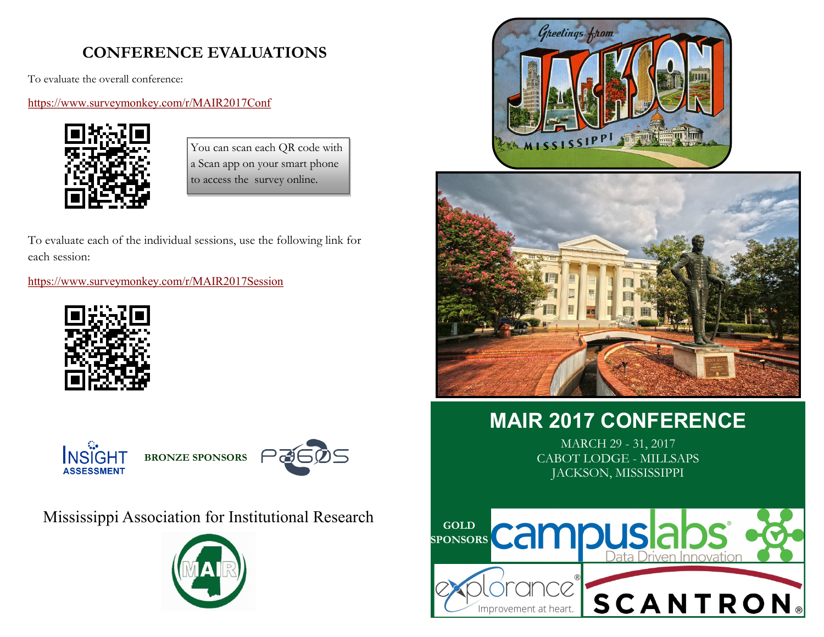## **CONFERENCE EVALUATIONS**

To evaluate the overall conference:

### <https://www.surveymonkey.com/r/MAIR2017Conf>



You can scan each QR code with a Scan app on your smart phone to access the survey online.

To evaluate each of the individual sessions, use the following link for each session:

<https://www.surveymonkey.com/r/MAIR2017Session>





Mississippi Association for Institutional Research







# **MAIR 2017 CONFERENCE**

MARCH 29 - 31, 2017 CABOT LODGE - MILLSAPS JACKSON, MISSISSIPPI